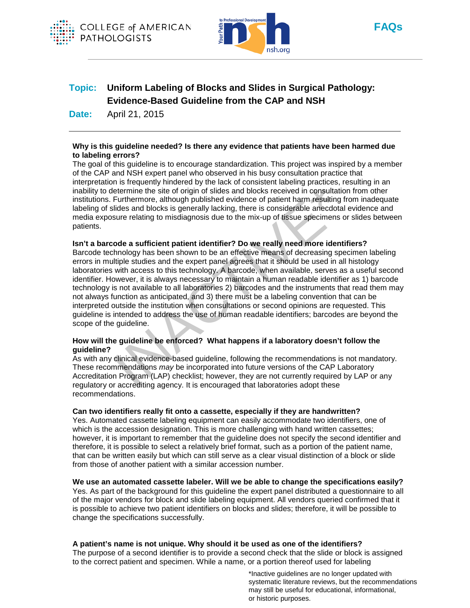



# **Topic: Uniform Labeling of Blocks and Slides in Surgical Pathology: Evidence-Based Guideline from the CAP and NSH**

**Date:** April 21, 2015

## **Why is this guideline needed? Is there any evidence that patients have been harmed due to labeling errors?**

The goal of this guideline is to encourage standardization. This project was inspired by a member of the CAP and NSH expert panel who observed in his busy consultation practice that interpretation is frequently hindered by the lack of consistent labeling practices, resulting in an inability to determine the site of origin of slides and blocks received in consultation from other institutions. Furthermore, although published evidence of patient harm resulting from inadequate labeling of slides and blocks is generally lacking, there is considerable anecdotal evidence and media exposure relating to misdiagnosis due to the mix-up of tissue specimens or slides between patients.

### **Isn't a barcode a sufficient patient identifier? Do we really need more identifiers?**

Barcode technology has been shown to be an effective means of decreasing specimen labeling errors in multiple studies and the expert panel agrees that it should be used in all histology laboratories with access to this technology. A barcode, when available, serves as a useful second identifier. However, it is always necessary to maintain a human readable identifier as 1) barcode technology is not available to all laboratories 2) barcodes and the instruments that read them may not always function as anticipated, and 3) there must be a labeling convention that can be interpreted outside the institution when consultations or second opinions are requested. This guideline is intended to address the use of human readable identifiers; barcodes are beyond the scope of the guideline. method the site of origin of slides and blocks received in consultation<br>
interturnine the site of origin of slides and blocks received in consultation<br>
Furthermore, although published evidence of patient harm resulting fre

### **How will the guideline be enforced? What happens if a laboratory doesn't follow the guideline?**

As with any clinical evidence-based guideline, following the recommendations is not mandatory. These recommendations *may* be incorporated into future versions of the CAP Laboratory Accreditation Program (LAP) checklist; however, they are not currently required by LAP or any regulatory or accrediting agency. It is encouraged that laboratories adopt these recommendations.

### **Can two identifiers really fit onto a cassette, especially if they are handwritten?**

Yes. Automated cassette labeling equipment can easily accommodate two identifiers, one of which is the accession designation. This is more challenging with hand written cassettes; however, it is important to remember that the guideline does not specify the second identifier and therefore, it is possible to select a relatively brief format, such as a portion of the patient name, that can be written easily but which can still serve as a clear visual distinction of a block or slide from those of another patient with a similar accession number.

### **We use an automated cassette labeler. Will we be able to change the specifications easily?**

Yes. As part of the background for this guideline the expert panel distributed a questionnaire to all of the major vendors for block and slide labeling equipment. All vendors queried confirmed that it is possible to achieve two patient identifiers on blocks and slides; therefore, it will be possible to change the specifications successfully.

# **A patient's name is not unique. Why should it be used as one of the identifiers?**

The purpose of a second identifier is to provide a second check that the slide or block is assigned to the correct patient and specimen. While a name, or a portion thereof used for labeling

> \*Inactive guidelines are no longer updated with systematic literature reviews, but the recommendations may still be useful for educational, informational, or historic purposes.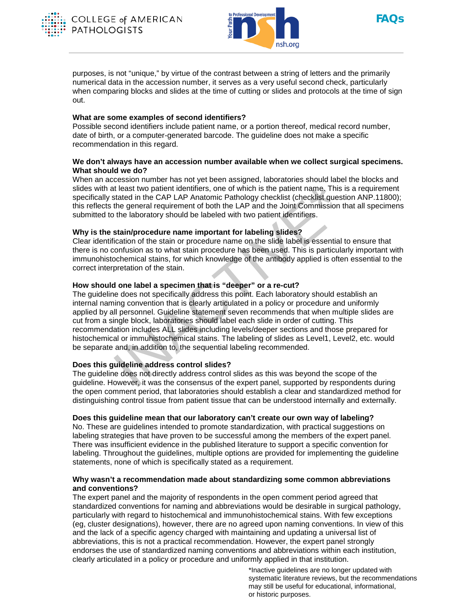



**FAQs**

purposes, is not "unique," by virtue of the contrast between a string of letters and the primarily numerical data in the accession number, it serves as a very useful second check, particularly when comparing blocks and slides at the time of cutting or slides and protocols at the time of sign out.

## **What are some examples of second identifiers?**

Possible second identifiers include patient name, or a portion thereof, medical record number, date of birth, or a computer-generated barcode. The guideline does not make a specific recommendation in this regard.

## **We don't always have an accession number available when we collect surgical specimens. What should we do?**

When an accession number has not yet been assigned, laboratories should label the blocks and slides with at least two patient identifiers, one of which is the patient name. This is a requirement specifically stated in the CAP LAP Anatomic Pathology checklist (checklist question ANP.11800); this reflects the general requirement of both the LAP and the Joint Commission that all specimens submitted to the laboratory should be labeled with two patient identifiers.

# **Why is the stain/procedure name important for labeling slides?**

Clear identification of the stain or procedure name on the slide label is essential to ensure that there is no confusion as to what stain procedure has been used. This is particularly important with immunohistochemical stains, for which knowledge of the antibody applied is often essential to the correct interpretation of the stain.

# **How should one label a specimen that is "deeper" or a re-cut?**

The guideline does not specifically address this point. Each laboratory should establish an internal naming convention that is clearly articulated in a policy or procedure and uniformly applied by all personnel. Guideline statement seven recommends that when multiple slides are cut from a single block, laboratories should label each slide in order of cutting. This recommendation includes ALL slides including levels/deeper sections and those prepared for histochemical or immuhistochemical stains. The labeling of slides as Level1, Level2, etc. would be separate and, in addition to, the sequential labeling recommended. it least two patient identifiers, one of which is the patient name. This is<br>stated in the CAP LAP Anatomic Pathology checklist (checklist questio<br>the general requirement of both the LAP and the Joint Comission tha<br>the gene

# **Does this guideline address control slides?**

The guideline does not directly address control slides as this was beyond the scope of the guideline. However, it was the consensus of the expert panel, supported by respondents during the open comment period, that laboratories should establish a clear and standardized method for distinguishing control tissue from patient tissue that can be understood internally and externally.

### **Does this guideline mean that our laboratory can't create our own way of labeling?**

No. These are guidelines intended to promote standardization, with practical suggestions on labeling strategies that have proven to be successful among the members of the expert panel. There was insufficient evidence in the published literature to support a specific convention for labeling. Throughout the guidelines, multiple options are provided for implementing the guideline statements, none of which is specifically stated as a requirement.

### **Why wasn't a recommendation made about standardizing some common abbreviations and conventions?**

The expert panel and the majority of respondents in the open comment period agreed that standardized conventions for naming and abbreviations would be desirable in surgical pathology, particularly with regard to histochemical and immunohistochemical stains. With few exceptions (eg, cluster designations), however, there are no agreed upon naming conventions. In view of this and the lack of a specific agency charged with maintaining and updating a universal list of abbreviations, this is not a practical recommendation. However, the expert panel strongly endorses the use of standardized naming conventions and abbreviations within each institution, clearly articulated in a policy or procedure and uniformly applied in that institution.

> \*Inactive guidelines are no longer updated with systematic literature reviews, but the recommendations may still be useful for educational, informational, or historic purposes.